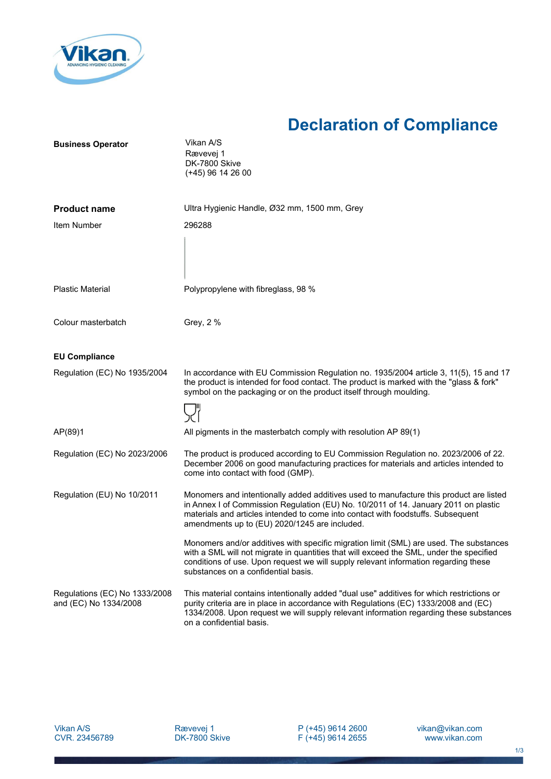

## **Declaration of Compliance**

| <b>Business Operator</b>                               | Vikan A/S<br>Rævevej 1<br>DK-7800 Skive<br>(+45) 96 14 26 00                                                                                                                                                                                                                                                       |
|--------------------------------------------------------|--------------------------------------------------------------------------------------------------------------------------------------------------------------------------------------------------------------------------------------------------------------------------------------------------------------------|
| <b>Product name</b>                                    | Ultra Hygienic Handle, Ø32 mm, 1500 mm, Grey                                                                                                                                                                                                                                                                       |
| Item Number                                            | 296288                                                                                                                                                                                                                                                                                                             |
| <b>Plastic Material</b>                                | Polypropylene with fibreglass, 98 %                                                                                                                                                                                                                                                                                |
| Colour masterbatch                                     | Grey, 2 %                                                                                                                                                                                                                                                                                                          |
| <b>EU Compliance</b>                                   |                                                                                                                                                                                                                                                                                                                    |
| Regulation (EC) No 1935/2004                           | In accordance with EU Commission Regulation no. 1935/2004 article 3, 11(5), 15 and 17<br>the product is intended for food contact. The product is marked with the "glass & fork"<br>symbol on the packaging or on the product itself through moulding.                                                             |
| AP(89)1                                                | All pigments in the masterbatch comply with resolution AP 89(1)                                                                                                                                                                                                                                                    |
| Regulation (EC) No 2023/2006                           | The product is produced according to EU Commission Regulation no. 2023/2006 of 22.<br>December 2006 on good manufacturing practices for materials and articles intended to<br>come into contact with food (GMP).                                                                                                   |
| Regulation (EU) No 10/2011                             | Monomers and intentionally added additives used to manufacture this product are listed<br>in Annex I of Commission Regulation (EU) No. 10/2011 of 14. January 2011 on plastic<br>materials and articles intended to come into contact with foodstuffs. Subsequent<br>amendments up to (EU) 2020/1245 are included. |
|                                                        | Monomers and/or additives with specific migration limit (SML) are used. The substances<br>with a SML will not migrate in quantities that will exceed the SML, under the specified<br>conditions of use. Upon request we will supply relevant information regarding these<br>substances on a confidential basis.    |
| Regulations (EC) No 1333/2008<br>and (EC) No 1334/2008 | This material contains intentionally added "dual use" additives for which restrictions or<br>purity criteria are in place in accordance with Regulations (EC) 1333/2008 and (EC)<br>1334/2008. Upon request we will supply relevant information regarding these substances<br>on a confidential basis.             |

P (+45) 9614 2600 F (+45) 9614 2655 vikan@vikan.com www.vikan.com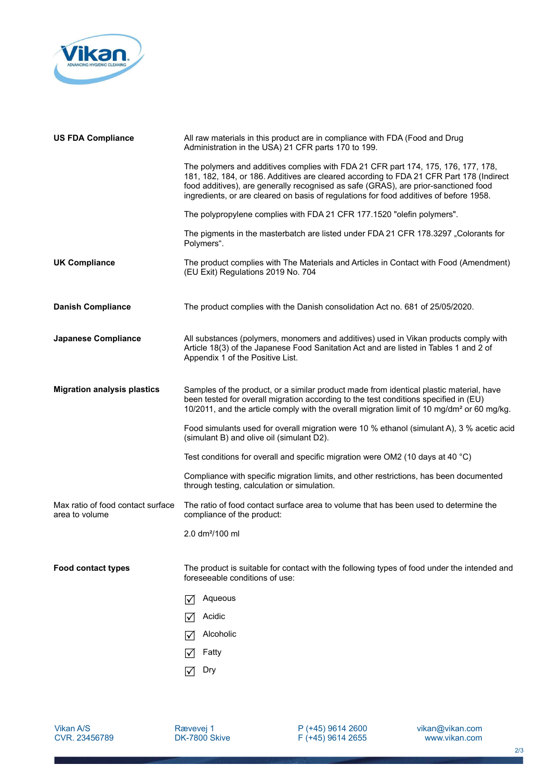

| <b>US FDA Compliance</b>                            | All raw materials in this product are in compliance with FDA (Food and Drug<br>Administration in the USA) 21 CFR parts 170 to 199.                                                                                                                                                                                                                            |
|-----------------------------------------------------|---------------------------------------------------------------------------------------------------------------------------------------------------------------------------------------------------------------------------------------------------------------------------------------------------------------------------------------------------------------|
|                                                     | The polymers and additives complies with FDA 21 CFR part 174, 175, 176, 177, 178,<br>181, 182, 184, or 186. Additives are cleared according to FDA 21 CFR Part 178 (Indirect<br>food additives), are generally recognised as safe (GRAS), are prior-sanctioned food<br>ingredients, or are cleared on basis of regulations for food additives of before 1958. |
|                                                     | The polypropylene complies with FDA 21 CFR 177.1520 "olefin polymers".                                                                                                                                                                                                                                                                                        |
|                                                     | The pigments in the masterbatch are listed under FDA 21 CFR 178.3297 "Colorants for<br>Polymers".                                                                                                                                                                                                                                                             |
| <b>UK Compliance</b>                                | The product complies with The Materials and Articles in Contact with Food (Amendment)<br>(EU Exit) Regulations 2019 No. 704                                                                                                                                                                                                                                   |
| <b>Danish Compliance</b>                            | The product complies with the Danish consolidation Act no. 681 of 25/05/2020.                                                                                                                                                                                                                                                                                 |
| <b>Japanese Compliance</b>                          | All substances (polymers, monomers and additives) used in Vikan products comply with<br>Article 18(3) of the Japanese Food Sanitation Act and are listed in Tables 1 and 2 of<br>Appendix 1 of the Positive List.                                                                                                                                             |
| <b>Migration analysis plastics</b>                  | Samples of the product, or a similar product made from identical plastic material, have<br>been tested for overall migration according to the test conditions specified in (EU)<br>10/2011, and the article comply with the overall migration limit of 10 mg/dm <sup>2</sup> or 60 mg/kg.                                                                     |
|                                                     | Food simulants used for overall migration were 10 % ethanol (simulant A), 3 % acetic acid<br>(simulant B) and olive oil (simulant D2).                                                                                                                                                                                                                        |
|                                                     | Test conditions for overall and specific migration were OM2 (10 days at 40 $^{\circ}$ C)                                                                                                                                                                                                                                                                      |
|                                                     | Compliance with specific migration limits, and other restrictions, has been documented<br>through testing, calculation or simulation.                                                                                                                                                                                                                         |
| Max ratio of food contact surface<br>area to volume | The ratio of food contact surface area to volume that has been used to determine the<br>compliance of the product:                                                                                                                                                                                                                                            |
|                                                     | 2.0 dm <sup>2</sup> /100 ml                                                                                                                                                                                                                                                                                                                                   |
| <b>Food contact types</b>                           | The product is suitable for contact with the following types of food under the intended and<br>foreseeable conditions of use:                                                                                                                                                                                                                                 |
|                                                     | Aqueous                                                                                                                                                                                                                                                                                                                                                       |
|                                                     | Acidic<br>IV                                                                                                                                                                                                                                                                                                                                                  |
|                                                     | Alcoholic                                                                                                                                                                                                                                                                                                                                                     |
|                                                     | Fatty                                                                                                                                                                                                                                                                                                                                                         |
|                                                     | Dry                                                                                                                                                                                                                                                                                                                                                           |

Vikan A/S CVR. 23456789 Rævevej 1 DK-7800 Skive P (+45) 9614 2600 F (+45) 9614 2655 vikan@vikan.com www.vikan.com